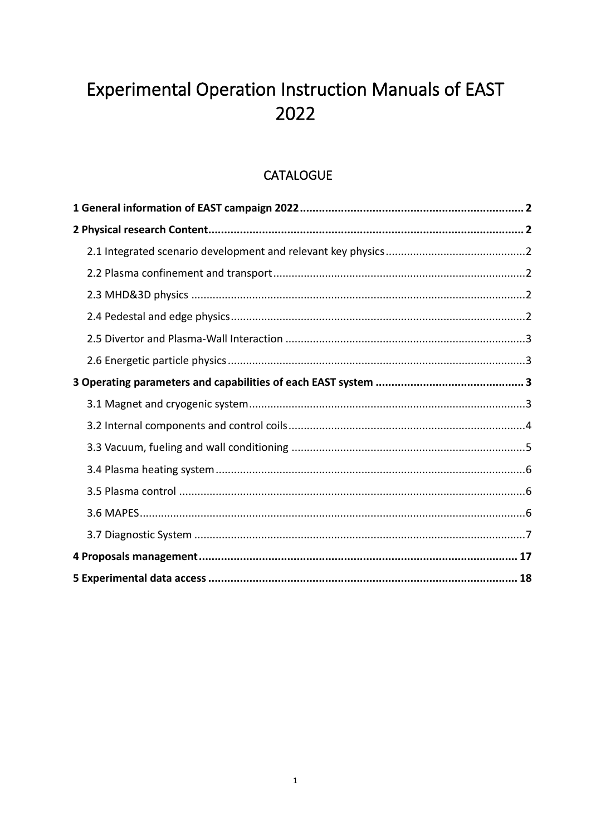# Experimental Operation Instruction Manuals of EAST 2022

# **CATALOGUE**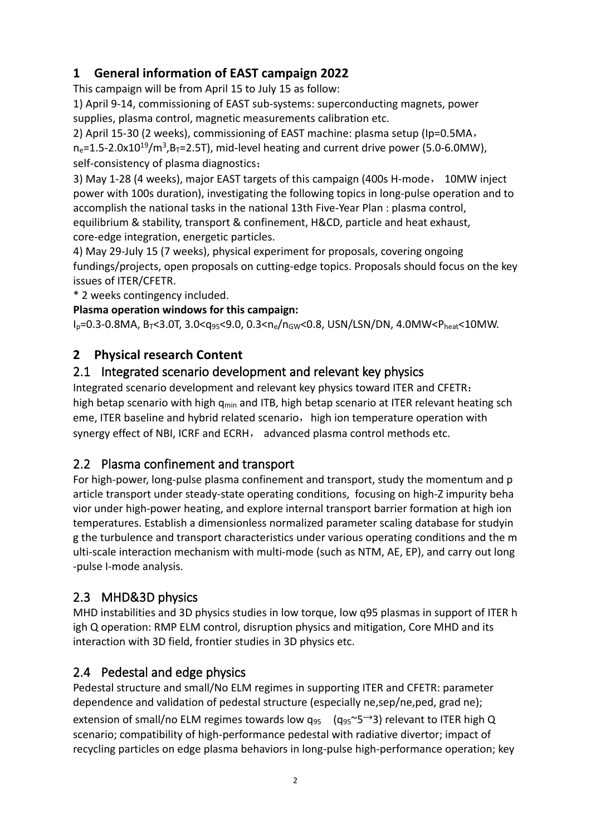# <span id="page-1-0"></span>**1 General information of EAST campaign 2022**

This campaign will be from April 15 to July 15 as follow:

1) April 9-14, commissioning of EAST sub-systems: superconducting magnets, power supplies, plasma control, magnetic measurements calibration etc.

2) April 15-30 (2 weeks), commissioning of EAST machine: plasma setup (Ip=0.5MA,  $n_e$ =1.5-2.0x10<sup>19</sup>/m<sup>3</sup>,B<sub>T</sub>=2.5T), mid-level heating and current drive power (5.0-6.0MW), self-consistency of plasma diagnostics;

3) May 1-28 (4 weeks), major EAST targets of this campaign (400s H-mode, 10MW inject power with 100s duration), investigating the following topics in long-pulse operation and to accomplish the national tasks in the national 13th Five-Year Plan : plasma control, equilibrium & stability, transport & confinement, H&CD, particle and heat exhaust, core-edge integration, energetic particles.

4) May 29-July 15 (7 weeks), physical experiment for proposals, covering ongoing fundings/projects, open proposals on cutting-edge topics. Proposals should focus on the key issues of ITER/CFETR.

\* 2 weeks contingency included.

#### **Plasma operation windows for this campaign:**

 $I_p = 0.3 - 0.8MA$ ,  $B_T < 3.0T$ ,  $3.0 < q_{95} < 9.0$ ,  $0.3 < n_e/n_{GW} < 0.8$ , USN/LSN/DN,  $4.0MW < P_{heat} < 10MW$ .

#### <span id="page-1-1"></span>**2 Physical research Content**

#### <span id="page-1-2"></span>2.1 Integrated scenario development and relevant key physics

Integrated scenario development and relevant key physics toward ITER and CFETR: high betap scenario with high  $q_{min}$  and ITB, high betap scenario at ITER relevant heating sch eme, ITER baseline and hybrid related scenario, high ion temperature operation with synergy effect of NBI, ICRF and ECRH, advanced plasma control methods etc.

## <span id="page-1-3"></span>2.2 Plasma confinement and transport

For high-power, long-pulse plasma confinement and transport, study the momentum and p article transport under steady-state operating conditions, focusing on high-Z impurity beha vior under high-power heating, and explore internal transport barrier formation at high ion temperatures. Establish a dimensionless normalized parameter scaling database for studyin g the turbulence and transport characteristics under various operating conditions and the m ulti-scale interaction mechanism with multi-mode (such as NTM, AE, EP), and carry out long -pulse I-mode analysis.

## <span id="page-1-4"></span>2.3 MHD&3D physics

MHD instabilities and 3D physics studies in low torque, low q95 plasmas in support of ITER h igh Q operation: RMP ELM control, disruption physics and mitigation, Core MHD and its interaction with 3D field, frontier studies in 3D physics etc.

## <span id="page-1-5"></span>2.4 Pedestal and edge physics

Pedestal structure and small/No ELM regimes in supporting ITER and CFETR: parameter dependence and validation of pedestal structure (especially ne,sep/ne,ped, grad ne); extension of small/no ELM regimes towards low  $q_{95}$  ( $q_{95}$ ~5  $\rightarrow$  3) relevant to ITER high Q scenario; compatibility of high-performance pedestal with radiative divertor; impact of recycling particles on edge plasma behaviors in long-pulse high-performance operation; key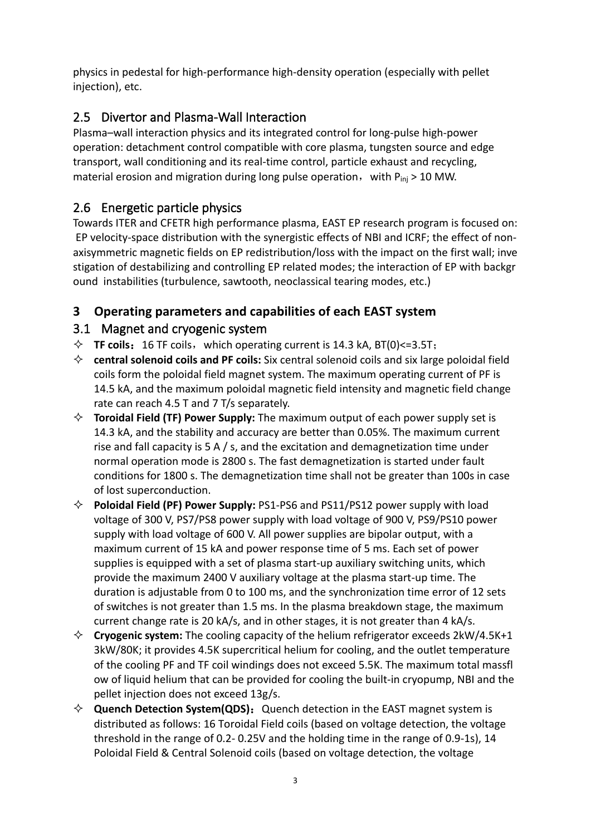physics in pedestal for high-performance high-density operation (especially with pellet injection), etc.

# <span id="page-2-0"></span>2.5 Divertor and Plasma-Wall Interaction

Plasma–wall interaction physics and its integrated control for long-pulse high-power operation: detachment control compatible with core plasma, tungsten source and edge transport, wall conditioning and its real-time control, particle exhaust and recycling, material erosion and migration during long pulse operation, with  $P_{ini} > 10$  MW.

## <span id="page-2-1"></span>2.6 Energetic particle physics

Towards ITER and CFETR high performance plasma, EAST EP research program is focused on: EP velocity-space distribution with the synergistic effects of NBI and ICRF; the effect of nonaxisymmetric magnetic fields on EP redistribution/loss with the impact on the first wall; inve stigation of destabilizing and controlling EP related modes; the interaction of EP with backgr ound instabilities (turbulence, sawtooth, neoclassical tearing modes, etc.)

## <span id="page-2-2"></span>**3 Operating parameters and capabilities of each EAST system**

#### <span id="page-2-3"></span>3.1 Magnet and cryogenic system

- $\div$  **TF coils:** 16 TF coils, which operating current is 14.3 kA, BT(0) <= 3.5T;
- **central solenoid coils and PF coils:** Six central solenoid coils and six large poloidal field coils form the poloidal field magnet system. The maximum operating current of PF is 14.5 kA, and the maximum poloidal magnetic field intensity and magnetic field change rate can reach 4.5 T and 7 T/s separately.
- **Toroidal Field (TF) Power Supply:** The maximum output of each power supply set is 14.3 kA, and the stability and accuracy are better than 0.05%. The maximum current rise and fall capacity is 5 A  $/$  s, and the excitation and demagnetization time under normal operation mode is 2800 s. The fast demagnetization is started under fault conditions for 1800 s. The demagnetization time shall not be greater than 100s in case of lost superconduction.
- **Poloidal Field (PF) Power Supply:** PS1-PS6 and PS11/PS12 power supply with load voltage of 300 V, PS7/PS8 power supply with load voltage of 900 V, PS9/PS10 power supply with load voltage of 600 V. All power supplies are bipolar output, with a maximum current of 15 kA and power response time of 5 ms. Each set of power supplies is equipped with a set of plasma start-up auxiliary switching units, which provide the maximum 2400 V auxiliary voltage at the plasma start-up time. The duration is adjustable from 0 to 100 ms, and the synchronization time error of 12 sets of switches is not greater than 1.5 ms. In the plasma breakdown stage, the maximum current change rate is 20 kA/s, and in other stages, it is not greater than 4 kA/s.
- **Cryogenic system:** The cooling capacity of the helium refrigerator exceeds 2kW/4.5K+1 3kW/80K; it provides 4.5K supercritical helium for cooling, and the outlet temperature of the cooling PF and TF coil windings does not exceed 5.5K. The maximum total massfl ow of liquid helium that can be provided for cooling the built-in cryopump, NBI and the pellet injection does not exceed 13g/s.
- $\diamond$  **Quench Detection System(QDS):** Quench detection in the EAST magnet system is distributed as follows: 16 Toroidal Field coils (based on voltage detection, the voltage threshold in the range of 0.2- 0.25V and the holding time in the range of 0.9-1s), 14 Poloidal Field & Central Solenoid coils (based on voltage detection, the voltage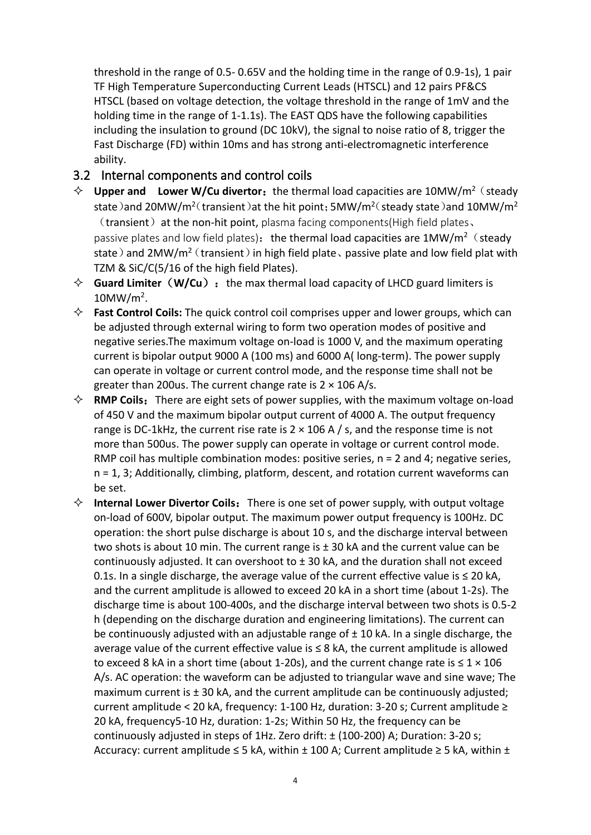threshold in the range of 0.5- 0.65V and the holding time in the range of 0.9-1s), 1 pair TF High Temperature Superconducting Current Leads (HTSCL) and 12 pairs PF&CS HTSCL (based on voltage detection, the voltage threshold in the range of 1mV and the holding time in the range of 1-1.1s). The EAST QDS have the following capabilities including the insulation to ground (DC 10kV), the signal to noise ratio of 8, trigger the Fast Discharge (FD) within 10ms and has strong anti-electromagnetic interference ability.

#### <span id="page-3-0"></span>3.2 Internal components and control coils

- $\Diamond$  **Upper and Lower W/Cu divertor:** the thermal load capacities are 10MW/m<sup>2</sup> (steady state )and 20MW/m<sup>2</sup> (transient )at the hit point; 5MW/m<sup>2</sup> (steady state )and 10MW/m<sup>2</sup>  $(transient)$  at the non-hit point, plasma facing components(High field plates, passive plates and low field plates): the thermal load capacities are  $1MW/m^2$  (steady state) and 2MW/m<sup>2</sup> (transient) in high field plate、passive plate and low field plat with TZM & SiC/C(5/16 of the high field Plates).
- $\Diamond$  **Guard Limiter** (W/Cu): the max thermal load capacity of LHCD guard limiters is  $10$ MW/m<sup>2</sup>.
- **Fast Control Coils:** The quick control coil comprises upper and lower groups, which can be adjusted through external wiring to form two operation modes of positive and negative series.The maximum voltage on-load is 1000 V, and the maximum operating current is bipolar output 9000 A (100 ms) and 6000 A( long-term). The power supply can operate in voltage or current control mode, and the response time shall not be greater than 200us. The current change rate is  $2 \times 106$  A/s.
- $\Diamond$  **RMP Coils:** There are eight sets of power supplies, with the maximum voltage on-load of 450 V and the maximum bipolar output current of 4000 A. The output frequency range is DC-1kHz, the current rise rate is  $2 \times 106$  A  $/$  s, and the response time is not more than 500us. The power supply can operate in voltage or current control mode. RMP coil has multiple combination modes: positive series, n = 2 and 4; negative series, n = 1, 3; Additionally, climbing, platform, descent, and rotation current waveforms can be set.
- $\Diamond$  **Internal Lower Divertor Coils:** There is one set of power supply, with output voltage on-load of 600V, bipolar output. The maximum power output frequency is 100Hz. DC operation: the short pulse discharge is about 10 s, and the discharge interval between two shots is about 10 min. The current range is  $\pm$  30 kA and the current value can be continuously adjusted. It can overshoot to  $\pm$  30 kA, and the duration shall not exceed 0.1s. In a single discharge, the average value of the current effective value is ≤ 20 kA, and the current amplitude is allowed to exceed 20 kA in a short time (about 1-2s). The discharge time is about 100-400s, and the discharge interval between two shots is 0.5-2 h (depending on the discharge duration and engineering limitations). The current can be continuously adjusted with an adjustable range of  $\pm$  10 kA. In a single discharge, the average value of the current effective value is ≤ 8 kA, the current amplitude is allowed to exceed 8 kA in a short time (about 1-20s), and the current change rate is  $\leq 1 \times 106$ A/s. AC operation: the waveform can be adjusted to triangular wave and sine wave; The maximum current is ± 30 kA, and the current amplitude can be continuously adjusted; current amplitude < 20 kA, frequency: 1-100 Hz, duration: 3-20 s; Current amplitude ≥ 20 kA, frequency5-10 Hz, duration: 1-2s; Within 50 Hz, the frequency can be continuously adjusted in steps of 1Hz. Zero drift: ± (100-200) A; Duration: 3-20 s; Accuracy: current amplitude  $\leq$  5 kA, within  $\pm$  100 A; Current amplitude  $\geq$  5 kA, within  $\pm$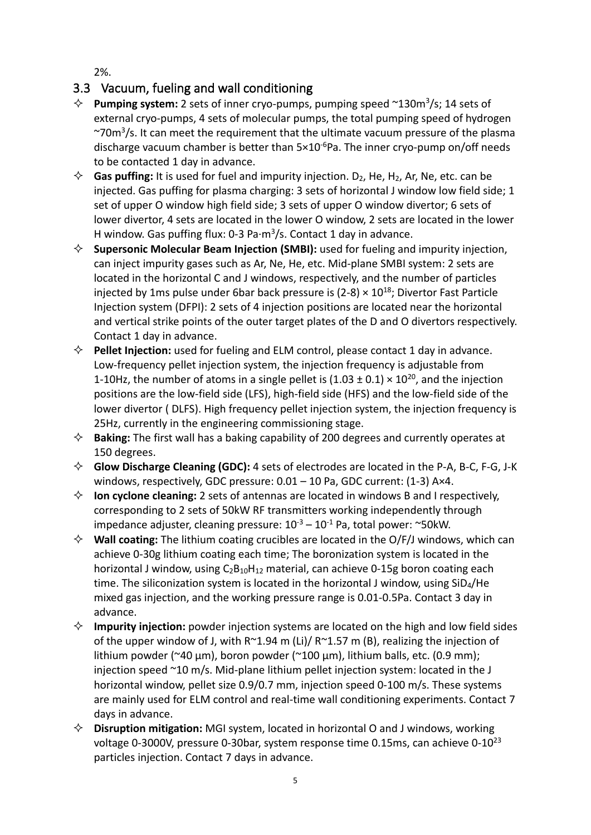2%.

## <span id="page-4-0"></span>3.3 Vacuum, fueling and wall conditioning

- **Pumping system:** 2 sets of inner cryo-pumps, pumping speed ~130m<sup>3</sup> /s; 14 sets of external cryo-pumps, 4 sets of molecular pumps, the total pumping speed of hydrogen ~70m<sup>3</sup>/s. It can meet the requirement that the ultimate vacuum pressure of the plasma discharge vacuum chamber is better than 5×10<sup>-6</sup>Pa. The inner cryo-pump on/off needs to be contacted 1 day in advance.
- $\Diamond$  **Gas puffing:** It is used for fuel and impurity injection. D<sub>2</sub>, He, H<sub>2</sub>, Ar, Ne, etc. can be injected. Gas puffing for plasma charging: 3 sets of horizontal J window low field side; 1 set of upper O window high field side; 3 sets of upper O window divertor; 6 sets of lower divertor, 4 sets are located in the lower O window, 2 sets are located in the lower H window. Gas puffing flux: 0-3 Pa·m<sup>3</sup>/s. Contact 1 day in advance.
- **Supersonic Molecular Beam Injection (SMBI):** used for fueling and impurity injection, can inject impurity gases such as Ar, Ne, He, etc. Mid-plane SMBI system: 2 sets are located in the horizontal C and J windows, respectively, and the number of particles injected by 1ms pulse under 6bar back pressure is  $(2-8) \times 10^{18}$ ; Divertor Fast Particle Injection system (DFPI): 2 sets of 4 injection positions are located near the horizontal and vertical strike points of the outer target plates of the D and O divertors respectively. Contact 1 day in advance.
- **Pellet Injection:** used for fueling and ELM control, please contact 1 day in advance. Low-frequency pellet injection system, the injection frequency is adjustable from 1-10Hz, the number of atoms in a single pellet is  $(1.03 \pm 0.1) \times 10^{20}$ , and the injection positions are the low-field side (LFS), high-field side (HFS) and the low-field side of the lower divertor ( DLFS). High frequency pellet injection system, the injection frequency is 25Hz, currently in the engineering commissioning stage.
- **Baking:** The first wall has a baking capability of 200 degrees and currently operates at 150 degrees.
- **Glow Discharge Cleaning (GDC):** 4 sets of electrodes are located in the P-A, B-C, F-G, J-K windows, respectively, GDC pressure:  $0.01 - 10$  Pa, GDC current: (1-3) A×4.
- **Ion cyclone cleaning:** 2 sets of antennas are located in windows B and I respectively, corresponding to 2 sets of 50kW RF transmitters working independently through impedance adjuster, cleaning pressure:  $10^{-3} - 10^{-1}$  Pa, total power: ~50kW.
- **Wall coating:** The lithium coating crucibles are located in the O/F/J windows, which can achieve 0-30g lithium coating each time; The boronization system is located in the horizontal J window, using C<sub>2</sub>B<sub>10</sub>H<sub>12</sub> material, can achieve 0-15g boron coating each time. The siliconization system is located in the horizontal J window, using SiD4/He mixed gas injection, and the working pressure range is 0.01-0.5Pa. Contact 3 day in advance.
- **Impurity injection:** powder injection systems are located on the high and low field sides of the upper window of J, with  $R^{\sim}1.94$  m (Li)/  $R^{\sim}1.57$  m (B), realizing the injection of lithium powder (~40  $\mu$ m), boron powder (~100  $\mu$ m), lithium balls, etc. (0.9 mm); injection speed ~10 m/s. Mid-plane lithium pellet injection system: located in the J horizontal window, pellet size 0.9/0.7 mm, injection speed 0-100 m/s. These systems are mainly used for ELM control and real-time wall conditioning experiments. Contact 7 days in advance.
- **Disruption mitigation:** MGI system, located in horizontal O and J windows, working voltage 0-3000V, pressure 0-30bar, system response time 0.15ms, can achieve 0-10<sup>23</sup> particles injection. Contact 7 days in advance.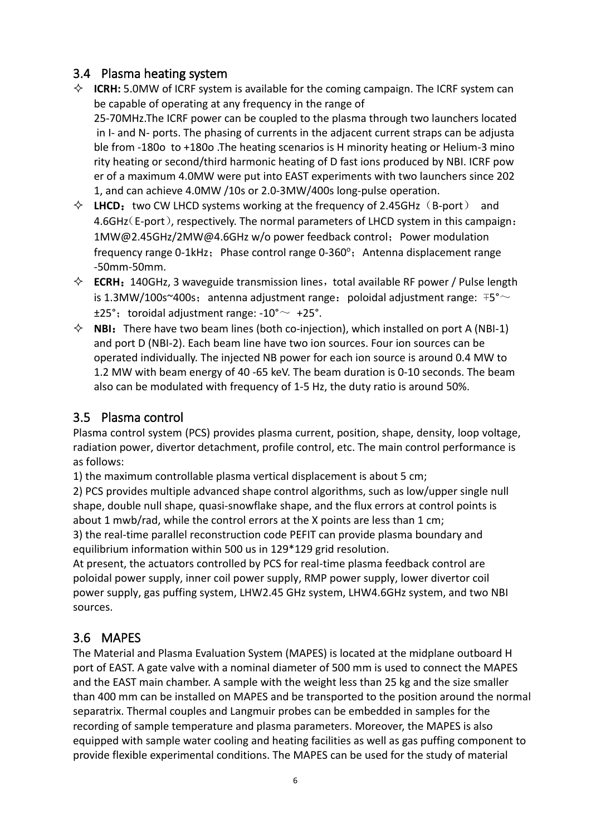#### <span id="page-5-0"></span>3.4 Plasma heating system

- **↑ ICRH:** 5.0MW of ICRF system is available for the coming campaign. The ICRF system can be capable of operating at any frequency in the range of 25-70MHz.The ICRF power can be coupled to the plasma through two launchers located in I- and N- ports. The phasing of currents in the adjacent current straps can be adjusta ble from -180o to +180o .The heating scenarios is H minority heating or Helium-3 mino rity heating or second/third harmonic heating of D fast ions produced by NBI. ICRF pow er of a maximum 4.0MW were put into EAST experiments with two launchers since 202 1, and can achieve 4.0MW /10s or 2.0-3MW/400s long-pulse operation.
- $\Diamond$  LHCD: two CW LHCD systems working at the frequency of 2.45GHz  $(B\text{-}port)$  and 4.6GHz(E-port), respectively. The normal parameters of LHCD system in this campaign: 1MW@2.45GHz/2MW@4.6GHz w/o power feedback control;Power modulation frequency range 0-1kHz; Phase control range 0-360°; Antenna displacement range -50mm-50mm.
- $\diamond$  **ECRH:** 140GHz, 3 waveguide transmission lines, total available RF power / Pulse length is 1.3MW/100s~400s; antenna adjustment range: poloidal adjustment range:  $F5^{\circ}$ ~  $±25^\circ$ ; toroidal adjustment range:  $-10^\circ \sim +25^\circ$ .
- $\Diamond$  **NBI:** There have two beam lines (both co-injection), which installed on port A (NBI-1) and port D (NBI-2). Each beam line have two ion sources. Four ion sources can be operated individually. The injected NB power for each ion source is around 0.4 MW to 1.2 MW with beam energy of 40 -65 keV. The beam duration is 0-10 seconds. The beam also can be modulated with frequency of 1-5 Hz, the duty ratio is around 50%.

#### <span id="page-5-1"></span>3.5 Plasma control

Plasma control system (PCS) provides plasma current, position, shape, density, loop voltage, radiation power, divertor detachment, profile control, etc. The main control performance is as follows:

1) the maximum controllable plasma vertical displacement is about 5 cm;

2) PCS provides multiple advanced shape control algorithms, such as low/upper single null shape, double null shape, quasi-snowflake shape, and the flux errors at control points is about 1 mwb/rad, while the control errors at the X points are less than 1 cm;

3) the real-time parallel reconstruction code PEFIT can provide plasma boundary and equilibrium information within 500 us in 129\*129 grid resolution.

At present, the actuators controlled by PCS for real-time plasma feedback control are poloidal power supply, inner coil power supply, RMP power supply, lower divertor coil power supply, gas puffing system, LHW2.45 GHz system, LHW4.6GHz system, and two NBI sources.

## <span id="page-5-2"></span>3.6 MAPES

The Material and Plasma Evaluation System (MAPES) is located at the midplane outboard H port of EAST. A gate valve with a nominal diameter of 500 mm is used to connect the MAPES and the EAST main chamber. A sample with the weight less than 25 kg and the size smaller than 400 mm can be installed on MAPES and be transported to the position around the normal separatrix. Thermal couples and Langmuir probes can be embedded in samples for the recording of sample temperature and plasma parameters. Moreover, the MAPES is also equipped with sample water cooling and heating facilities as well as gas puffing component to provide flexible experimental conditions. The MAPES can be used for the study of material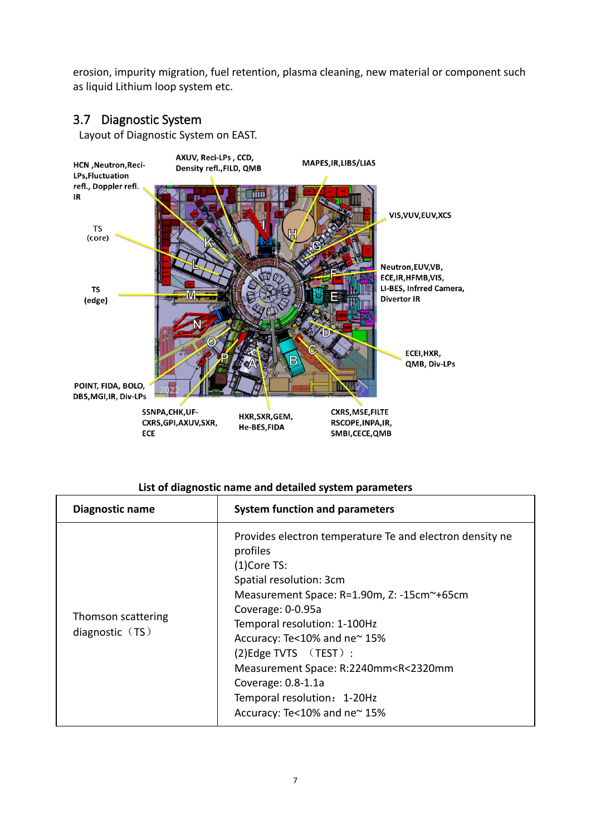erosion, impurity migration, fuel retention, plasma cleaning, new material or component such as liquid Lithium loop system etc.

#### <span id="page-6-0"></span>3.7 Diagnostic System

Layout of Diagnostic System on EAST.



#### **List of diagnostic name and detailed system parameters**

| Diagnostic name                         | <b>System function and parameters</b>                                                                                                                                                                                                                                                                                                                                                                                             |
|-----------------------------------------|-----------------------------------------------------------------------------------------------------------------------------------------------------------------------------------------------------------------------------------------------------------------------------------------------------------------------------------------------------------------------------------------------------------------------------------|
| Thomson scattering<br>diagnostic $(TS)$ | Provides electron temperature Te and electron density ne<br>profiles<br>$(1)$ Core TS:<br>Spatial resolution: 3cm<br>Measurement Space: R=1.90m, Z: -15cm~+65cm<br>Coverage: 0-0.95a<br>Temporal resolution: 1-100Hz<br>Accuracy: Te<10% and ne~15%<br>$(2)$ Edge TVTS $(TEST)$ :<br>Measurement Space: R:2240mm <r<2320mm<br>Coverage: 0.8-1.1a<br/>Temporal resolution: 1-20Hz<br/>Accuracy: Te&lt;10% and ne~15%</r<2320mm<br> |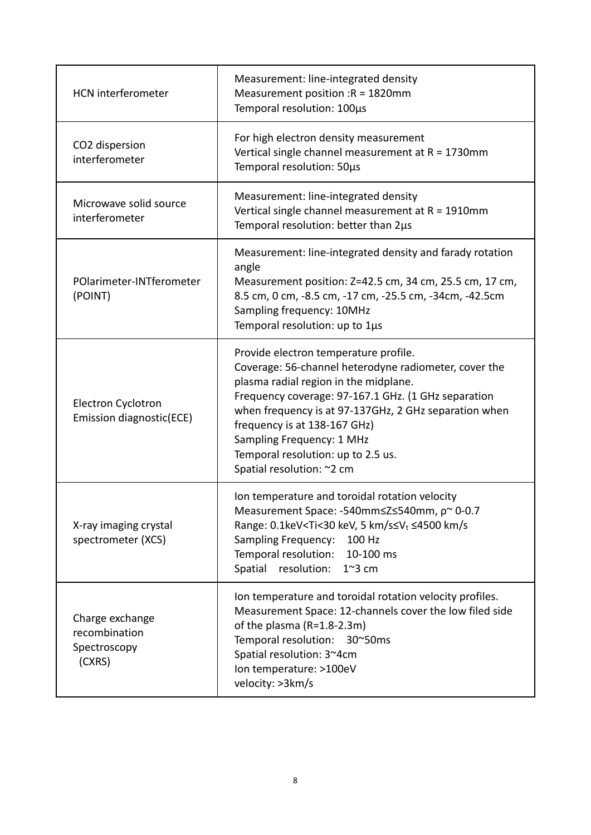| <b>HCN</b> interferometer                                  | Measurement: line-integrated density<br>Measurement position : $R = 1820$ mm<br>Temporal resolution: 100µs                                                                                                                                                                                                                                                                              |
|------------------------------------------------------------|-----------------------------------------------------------------------------------------------------------------------------------------------------------------------------------------------------------------------------------------------------------------------------------------------------------------------------------------------------------------------------------------|
| CO2 dispersion<br>interferometer                           | For high electron density measurement<br>Vertical single channel measurement at $R = 1730$ mm<br>Temporal resolution: 50µs                                                                                                                                                                                                                                                              |
| Microwave solid source<br>interferometer                   | Measurement: line-integrated density<br>Vertical single channel measurement at $R = 1910$ mm<br>Temporal resolution: better than 2µs                                                                                                                                                                                                                                                    |
| POlarimeter-INTferometer<br>(POINT)                        | Measurement: line-integrated density and farady rotation<br>angle<br>Measurement position: Z=42.5 cm, 34 cm, 25.5 cm, 17 cm,<br>8.5 cm, 0 cm, -8.5 cm, -17 cm, -25.5 cm, -34cm, -42.5cm<br>Sampling frequency: 10MHz<br>Temporal resolution: up to 1µs                                                                                                                                  |
| Electron Cyclotron<br>Emission diagnostic(ECE)             | Provide electron temperature profile.<br>Coverage: 56-channel heterodyne radiometer, cover the<br>plasma radial region in the midplane.<br>Frequency coverage: 97-167.1 GHz. (1 GHz separation<br>when frequency is at 97-137GHz, 2 GHz separation when<br>frequency is at 138-167 GHz)<br>Sampling Frequency: 1 MHz<br>Temporal resolution: up to 2.5 us.<br>Spatial resolution: ~2 cm |
| X-ray imaging crystal<br>spectrometer (XCS)                | Ion temperature and toroidal rotation velocity<br>Measurement Space: -540mm≤Z≤540mm, p~ 0-0.7<br>Range: 0.1keV <ti<30 5="" kev,="" km="" s≤v<sub="">t ≤4500 km/s<br/><b>Sampling Frequency:</b><br/>100 Hz<br/>Temporal resolution:<br/>10-100 ms<br/>resolution:<br/>Spatial<br/><math>1^{\sim}3</math> cm</ti<30>                                                                     |
| Charge exchange<br>recombination<br>Spectroscopy<br>(CXRS) | Ion temperature and toroidal rotation velocity profiles.<br>Measurement Space: 12-channels cover the low filed side<br>of the plasma (R=1.8-2.3m)<br>Temporal resolution: 30~50ms<br>Spatial resolution: 3~4cm<br>Ion temperature: >100eV<br>velocity: >3km/s                                                                                                                           |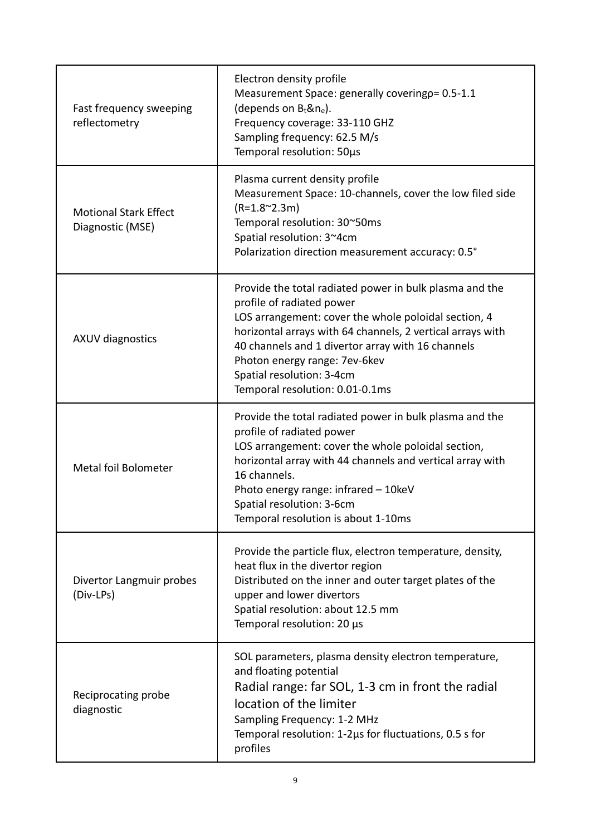| Fast frequency sweeping<br>reflectometry         | Electron density profile<br>Measurement Space: generally coveringp= 0.5-1.1<br>(depends on $B_t$ &n <sub>e</sub> ).<br>Frequency coverage: 33-110 GHZ<br>Sampling frequency: 62.5 M/s<br>Temporal resolution: 50µs                                                                                                                                               |
|--------------------------------------------------|------------------------------------------------------------------------------------------------------------------------------------------------------------------------------------------------------------------------------------------------------------------------------------------------------------------------------------------------------------------|
| <b>Motional Stark Effect</b><br>Diagnostic (MSE) | Plasma current density profile<br>Measurement Space: 10-channels, cover the low filed side<br>$(R=1.8^{\circ}2.3m)$<br>Temporal resolution: 30~50ms<br>Spatial resolution: 3~4cm<br>Polarization direction measurement accuracy: 0.5°                                                                                                                            |
| <b>AXUV diagnostics</b>                          | Provide the total radiated power in bulk plasma and the<br>profile of radiated power<br>LOS arrangement: cover the whole poloidal section, 4<br>horizontal arrays with 64 channels, 2 vertical arrays with<br>40 channels and 1 divertor array with 16 channels<br>Photon energy range: 7ev-6kev<br>Spatial resolution: 3-4cm<br>Temporal resolution: 0.01-0.1ms |
| Metal foil Bolometer                             | Provide the total radiated power in bulk plasma and the<br>profile of radiated power<br>LOS arrangement: cover the whole poloidal section,<br>horizontal array with 44 channels and vertical array with<br>16 channels.<br>Photo energy range: infrared - 10keV<br>Spatial resolution: 3-6cm<br>Temporal resolution is about 1-10ms                              |
| Divertor Langmuir probes<br>(Div-LPs)            | Provide the particle flux, electron temperature, density,<br>heat flux in the divertor region<br>Distributed on the inner and outer target plates of the<br>upper and lower divertors<br>Spatial resolution: about 12.5 mm<br>Temporal resolution: 20 µs                                                                                                         |
| Reciprocating probe<br>diagnostic                | SOL parameters, plasma density electron temperature,<br>and floating potential<br>Radial range: far SOL, 1-3 cm in front the radial<br>location of the limiter<br>Sampling Frequency: 1-2 MHz<br>Temporal resolution: 1-2us for fluctuations, 0.5 s for<br>profiles                                                                                              |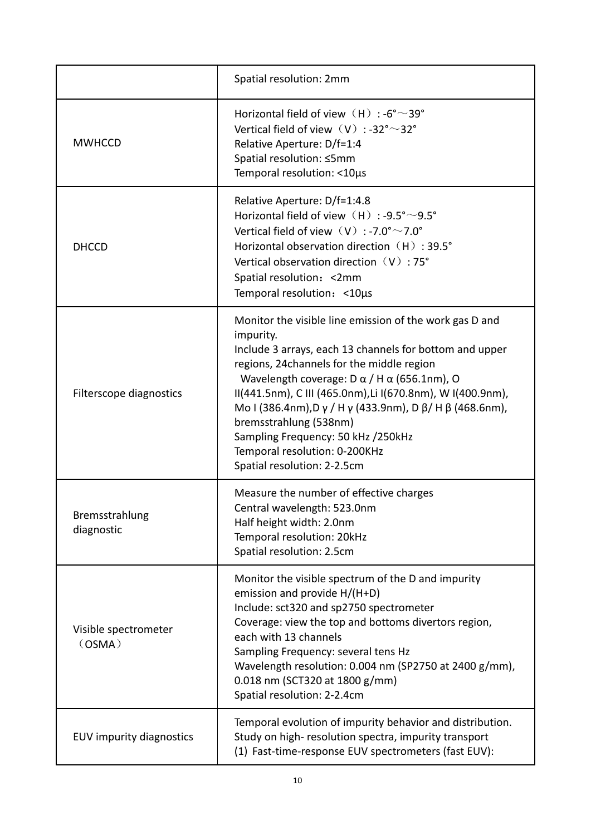|                                 | Spatial resolution: 2mm                                                                                                                                                                                                                                                                                                                                                                                                                                                                           |
|---------------------------------|---------------------------------------------------------------------------------------------------------------------------------------------------------------------------------------------------------------------------------------------------------------------------------------------------------------------------------------------------------------------------------------------------------------------------------------------------------------------------------------------------|
| <b>MWHCCD</b>                   | Horizontal field of view (H) : -6°~39°<br>Vertical field of view $(V)$ : -32° ~ 32°<br>Relative Aperture: D/f=1:4<br>Spatial resolution: ≤5mm<br>Temporal resolution: <10µs                                                                                                                                                                                                                                                                                                                       |
| <b>DHCCD</b>                    | Relative Aperture: D/f=1:4.8<br>Horizontal field of view (H) : -9.5° ~9.5°<br>Vertical field of view $(V)$ : -7.0° $\sim$ 7.0°<br>Horizontal observation direction (H): 39.5°<br>Vertical observation direction $(V)$ : 75°<br>Spatial resolution: < 2mm<br>Temporal resolution: < 10µs                                                                                                                                                                                                           |
| Filterscope diagnostics         | Monitor the visible line emission of the work gas D and<br>impurity.<br>Include 3 arrays, each 13 channels for bottom and upper<br>regions, 24channels for the middle region<br>Wavelength coverage: $D \alpha / H \alpha$ (656.1nm), O<br>II(441.5nm), C III (465.0nm), Li I(670.8nm), W I(400.9nm),<br>Mo I (386.4nm), D γ / H γ (433.9nm), D β/ H β (468.6nm),<br>bremsstrahlung (538nm)<br>Sampling Frequency: 50 kHz /250kHz<br>Temporal resolution: 0-200KHz<br>Spatial resolution: 2-2.5cm |
| Bremsstrahlung<br>diagnostic    | Measure the number of effective charges<br>Central wavelength: 523.0nm<br>Half height width: 2.0nm<br>Temporal resolution: 20kHz<br>Spatial resolution: 2.5cm                                                                                                                                                                                                                                                                                                                                     |
| Visible spectrometer<br>(OSMA)  | Monitor the visible spectrum of the D and impurity<br>emission and provide H/(H+D)<br>Include: sct320 and sp2750 spectrometer<br>Coverage: view the top and bottoms divertors region,<br>each with 13 channels<br>Sampling Frequency: several tens Hz<br>Wavelength resolution: 0.004 nm (SP2750 at 2400 g/mm),<br>0.018 nm (SCT320 at 1800 g/mm)<br>Spatial resolution: 2-2.4cm                                                                                                                  |
| <b>EUV impurity diagnostics</b> | Temporal evolution of impurity behavior and distribution.<br>Study on high-resolution spectra, impurity transport<br>(1) Fast-time-response EUV spectrometers (fast EUV):                                                                                                                                                                                                                                                                                                                         |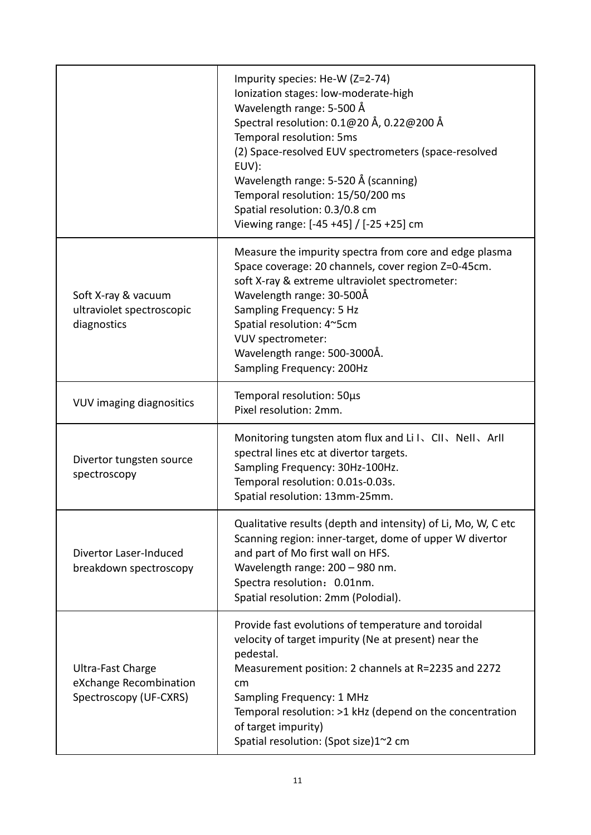|                                                                       | Impurity species: He-W (Z=2-74)<br>Ionization stages: low-moderate-high<br>Wavelength range: 5-500 Å<br>Spectral resolution: 0.1@20 Å, 0.22@200 Å<br>Temporal resolution: 5ms<br>(2) Space-resolved EUV spectrometers (space-resolved<br>EUV):<br>Wavelength range: 5-520 Å (scanning)<br>Temporal resolution: 15/50/200 ms<br>Spatial resolution: 0.3/0.8 cm<br>Viewing range: [-45 +45] / [-25 +25] cm |
|-----------------------------------------------------------------------|----------------------------------------------------------------------------------------------------------------------------------------------------------------------------------------------------------------------------------------------------------------------------------------------------------------------------------------------------------------------------------------------------------|
| Soft X-ray & vacuum<br>ultraviolet spectroscopic<br>diagnostics       | Measure the impurity spectra from core and edge plasma<br>Space coverage: 20 channels, cover region Z=0-45cm.<br>soft X-ray & extreme ultraviolet spectrometer:<br>Wavelength range: 30-500Å<br>Sampling Frequency: 5 Hz<br>Spatial resolution: 4~5cm<br>VUV spectrometer:<br>Wavelength range: 500-3000Å.<br>Sampling Frequency: 200Hz                                                                  |
| <b>VUV imaging diagnositics</b>                                       | Temporal resolution: 50µs<br>Pixel resolution: 2mm.                                                                                                                                                                                                                                                                                                                                                      |
| Divertor tungsten source<br>spectroscopy                              | Monitoring tungsten atom flux and Li I、CII、NeII、ArII<br>spectral lines etc at divertor targets.<br>Sampling Frequency: 30Hz-100Hz.<br>Temporal resolution: 0.01s-0.03s.<br>Spatial resolution: 13mm-25mm.                                                                                                                                                                                                |
| Divertor Laser-Induced<br>breakdown spectroscopy                      | Qualitative results (depth and intensity) of Li, Mo, W, C etc<br>Scanning region: inner-target, dome of upper W divertor<br>and part of Mo first wall on HFS.<br>Wavelength range: 200 - 980 nm.<br>Spectra resolution: 0.01nm.<br>Spatial resolution: 2mm (Polodial).                                                                                                                                   |
| Ultra-Fast Charge<br>eXchange Recombination<br>Spectroscopy (UF-CXRS) | Provide fast evolutions of temperature and toroidal<br>velocity of target impurity (Ne at present) near the<br>pedestal.<br>Measurement position: 2 channels at R=2235 and 2272<br>cm<br>Sampling Frequency: 1 MHz<br>Temporal resolution: >1 kHz (depend on the concentration<br>of target impurity)<br>Spatial resolution: (Spot size)1~2 cm                                                           |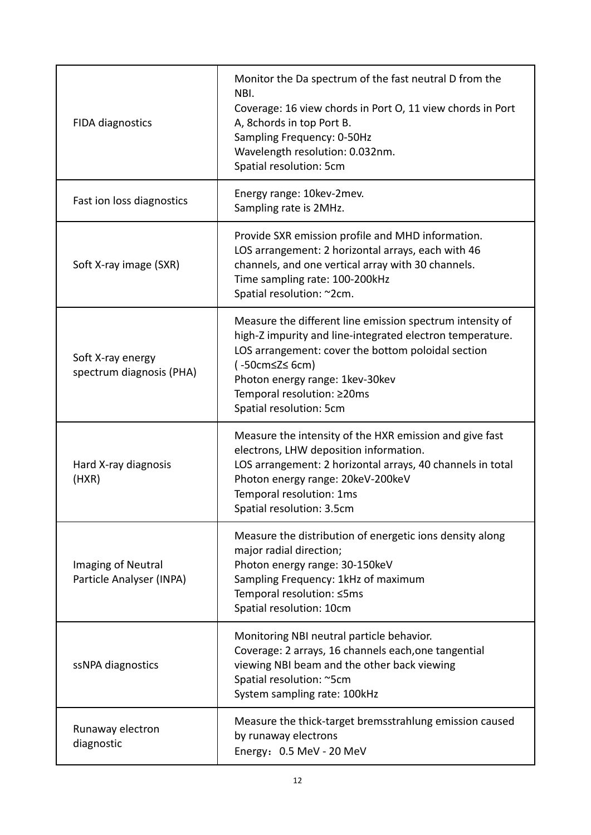| <b>FIDA diagnostics</b>                        | Monitor the Da spectrum of the fast neutral D from the<br>NBI.<br>Coverage: 16 view chords in Port O, 11 view chords in Port<br>A, 8chords in top Port B.<br>Sampling Frequency: 0-50Hz<br>Wavelength resolution: 0.032nm.<br>Spatial resolution: 5cm                                      |
|------------------------------------------------|--------------------------------------------------------------------------------------------------------------------------------------------------------------------------------------------------------------------------------------------------------------------------------------------|
| Fast ion loss diagnostics                      | Energy range: 10kev-2mev.<br>Sampling rate is 2MHz.                                                                                                                                                                                                                                        |
| Soft X-ray image (SXR)                         | Provide SXR emission profile and MHD information.<br>LOS arrangement: 2 horizontal arrays, each with 46<br>channels, and one vertical array with 30 channels.<br>Time sampling rate: 100-200kHz<br>Spatial resolution: ~2cm.                                                               |
| Soft X-ray energy<br>spectrum diagnosis (PHA)  | Measure the different line emission spectrum intensity of<br>high-Z impurity and line-integrated electron temperature.<br>LOS arrangement: cover the bottom poloidal section<br>(-50cm≤Z≤ 6cm)<br>Photon energy range: 1kev-30kev<br>Temporal resolution: ≥20ms<br>Spatial resolution: 5cm |
| Hard X-ray diagnosis<br>(HXR)                  | Measure the intensity of the HXR emission and give fast<br>electrons, LHW deposition information.<br>LOS arrangement: 2 horizontal arrays, 40 channels in total<br>Photon energy range: 20keV-200keV<br>Temporal resolution: 1ms<br>Spatial resolution: 3.5cm                              |
| Imaging of Neutral<br>Particle Analyser (INPA) | Measure the distribution of energetic ions density along<br>major radial direction;<br>Photon energy range: 30-150keV<br>Sampling Frequency: 1kHz of maximum<br>Temporal resolution: ≤5ms<br>Spatial resolution: 10cm                                                                      |
| ssNPA diagnostics                              | Monitoring NBI neutral particle behavior.<br>Coverage: 2 arrays, 16 channels each, one tangential<br>viewing NBI beam and the other back viewing<br>Spatial resolution: ~5cm<br>System sampling rate: 100kHz                                                                               |
| Runaway electron<br>diagnostic                 | Measure the thick-target bremsstrahlung emission caused<br>by runaway electrons<br>Energy: 0.5 MeV - 20 MeV                                                                                                                                                                                |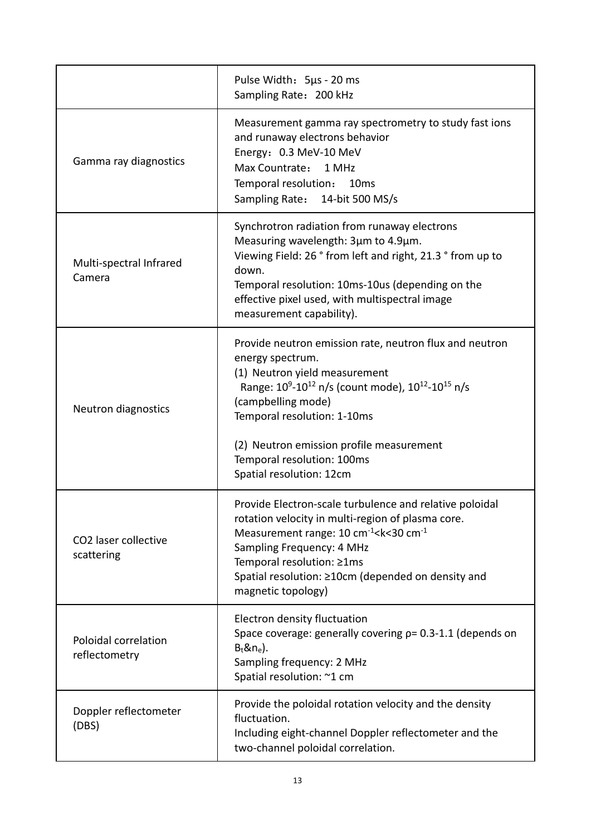|                                       | Pulse Width: 5µs - 20 ms<br>Sampling Rate: 200 kHz                                                                                                                                                                                                                                                                                                                           |
|---------------------------------------|------------------------------------------------------------------------------------------------------------------------------------------------------------------------------------------------------------------------------------------------------------------------------------------------------------------------------------------------------------------------------|
| Gamma ray diagnostics                 | Measurement gamma ray spectrometry to study fast ions<br>and runaway electrons behavior<br>Energy: 0.3 MeV-10 MeV<br>Max Countrate:<br>1 MHz<br>Temporal resolution:<br>10 <sub>ms</sub><br>Sampling Rate: 14-bit 500 MS/s                                                                                                                                                   |
| Multi-spectral Infrared<br>Camera     | Synchrotron radiation from runaway electrons<br>Measuring wavelength: 3µm to 4.9µm.<br>Viewing Field: 26 ° from left and right, 21.3 ° from up to<br>down.<br>Temporal resolution: 10ms-10us (depending on the<br>effective pixel used, with multispectral image<br>measurement capability).                                                                                 |
| Neutron diagnostics                   | Provide neutron emission rate, neutron flux and neutron<br>energy spectrum.<br>(1) Neutron yield measurement<br>Range: 10 <sup>9</sup> -10 <sup>12</sup> n/s (count mode), 10 <sup>12</sup> -10 <sup>15</sup> n/s<br>(campbelling mode)<br>Temporal resolution: 1-10ms<br>(2) Neutron emission profile measurement<br>Temporal resolution: 100ms<br>Spatial resolution: 12cm |
| CO2 laser collective<br>scattering    | Provide Electron-scale turbulence and relative poloidal<br>rotation velocity in multi-region of plasma core.<br>Measurement range: 10 cm <sup>-1</sup> < k < 30 cm <sup>-1</sup><br>Sampling Frequency: 4 MHz<br>Temporal resolution: ≥1ms<br>Spatial resolution: ≥10cm (depended on density and<br>magnetic topology)                                                       |
| Poloidal correlation<br>reflectometry | Electron density fluctuation<br>Space coverage: generally covering $p = 0.3 - 1.1$ (depends on<br>$B_t$ &n <sub>e</sub> ).<br>Sampling frequency: 2 MHz<br>Spatial resolution: ~1 cm                                                                                                                                                                                         |
| Doppler reflectometer<br>(DBS)        | Provide the poloidal rotation velocity and the density<br>fluctuation.<br>Including eight-channel Doppler reflectometer and the<br>two-channel poloidal correlation.                                                                                                                                                                                                         |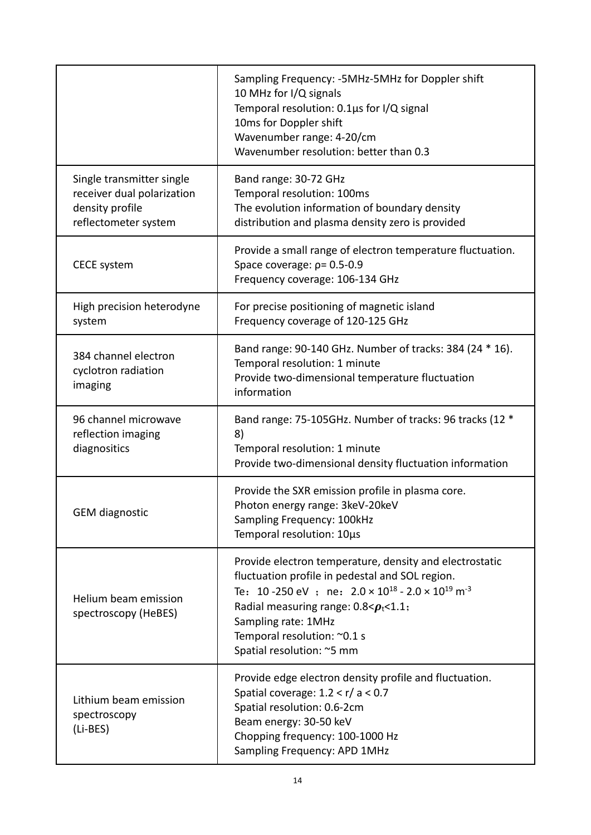|                                                                                                    | Sampling Frequency: -5MHz-5MHz for Doppler shift<br>10 MHz for I/Q signals<br>Temporal resolution: 0.1µs for I/Q signal<br>10ms for Doppler shift<br>Wavenumber range: 4-20/cm<br>Wavenumber resolution: better than 0.3                                                                                                        |
|----------------------------------------------------------------------------------------------------|---------------------------------------------------------------------------------------------------------------------------------------------------------------------------------------------------------------------------------------------------------------------------------------------------------------------------------|
| Single transmitter single<br>receiver dual polarization<br>density profile<br>reflectometer system | Band range: 30-72 GHz<br>Temporal resolution: 100ms<br>The evolution information of boundary density<br>distribution and plasma density zero is provided                                                                                                                                                                        |
| <b>CECE system</b>                                                                                 | Provide a small range of electron temperature fluctuation.<br>Space coverage: $p = 0.5 - 0.9$<br>Frequency coverage: 106-134 GHz                                                                                                                                                                                                |
| High precision heterodyne<br>system                                                                | For precise positioning of magnetic island<br>Frequency coverage of 120-125 GHz                                                                                                                                                                                                                                                 |
| 384 channel electron<br>cyclotron radiation<br>imaging                                             | Band range: 90-140 GHz. Number of tracks: 384 (24 * 16).<br>Temporal resolution: 1 minute<br>Provide two-dimensional temperature fluctuation<br>information                                                                                                                                                                     |
| 96 channel microwave<br>reflection imaging<br>diagnositics                                         | Band range: 75-105GHz. Number of tracks: 96 tracks (12 *<br>8)<br>Temporal resolution: 1 minute<br>Provide two-dimensional density fluctuation information                                                                                                                                                                      |
| <b>GEM</b> diagnostic                                                                              | Provide the SXR emission profile in plasma core.<br>Photon energy range: 3keV-20keV<br>Sampling Frequency: 100kHz<br>Temporal resolution: 10µs                                                                                                                                                                                  |
| Helium beam emission<br>spectroscopy (HeBES)                                                       | Provide electron temperature, density and electrostatic<br>fluctuation profile in pedestal and SOL region.<br>Te: 10-250 eV ; ne: $2.0 \times 10^{18}$ - $2.0 \times 10^{19}$ m <sup>-3</sup><br>Radial measuring range: $0.8 < p_t < 1.1$ ;<br>Sampling rate: 1MHz<br>Temporal resolution: ~0.1 s<br>Spatial resolution: ~5 mm |
| Lithium beam emission<br>spectroscopy<br>(Li-BES)                                                  | Provide edge electron density profile and fluctuation.<br>Spatial coverage: $1.2 < r/a < 0.7$<br>Spatial resolution: 0.6-2cm<br>Beam energy: 30-50 keV<br>Chopping frequency: 100-1000 Hz<br>Sampling Frequency: APD 1MHz                                                                                                       |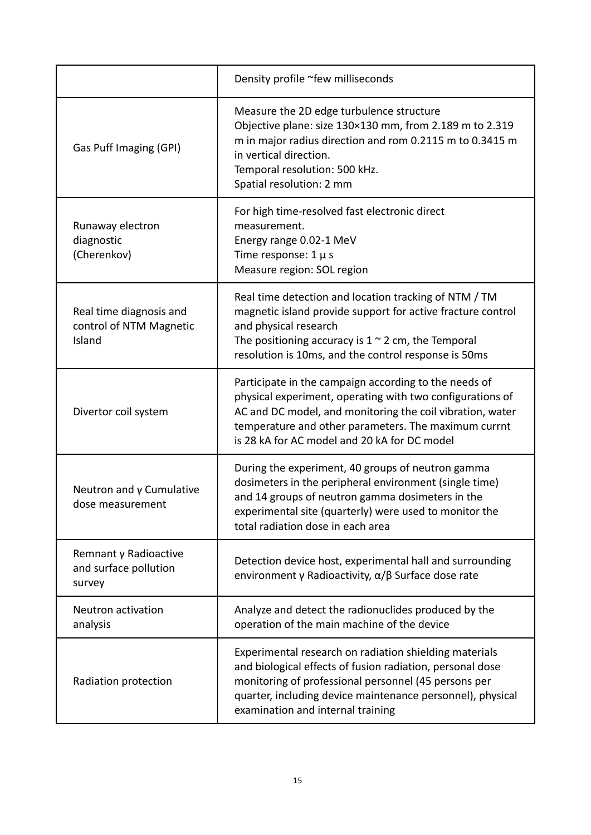|                                                              | Density profile ~few milliseconds                                                                                                                                                                                                                                                       |
|--------------------------------------------------------------|-----------------------------------------------------------------------------------------------------------------------------------------------------------------------------------------------------------------------------------------------------------------------------------------|
| Gas Puff Imaging (GPI)                                       | Measure the 2D edge turbulence structure<br>Objective plane: size 130×130 mm, from 2.189 m to 2.319<br>m in major radius direction and rom 0.2115 m to 0.3415 m<br>in vertical direction.<br>Temporal resolution: 500 kHz.<br>Spatial resolution: 2 mm                                  |
| Runaway electron<br>diagnostic<br>(Cherenkov)                | For high time-resolved fast electronic direct<br>measurement.<br>Energy range 0.02-1 MeV<br>Time response: $1 \mu s$<br>Measure region: SOL region                                                                                                                                      |
| Real time diagnosis and<br>control of NTM Magnetic<br>Island | Real time detection and location tracking of NTM / TM<br>magnetic island provide support for active fracture control<br>and physical research<br>The positioning accuracy is $1 \sim 2$ cm, the Temporal<br>resolution is 10ms, and the control response is 50ms                        |
| Divertor coil system                                         | Participate in the campaign according to the needs of<br>physical experiment, operating with two configurations of<br>AC and DC model, and monitoring the coil vibration, water<br>temperature and other parameters. The maximum currnt<br>is 28 kA for AC model and 20 kA for DC model |
| Neutron and $\gamma$ Cumulative<br>dose measurement          | During the experiment, 40 groups of neutron gamma<br>dosimeters in the peripheral environment (single time)<br>and 14 groups of neutron gamma dosimeters in the<br>experimental site (quarterly) were used to monitor the<br>total radiation dose in each area                          |
| Remnant y Radioactive<br>and surface pollution<br>survey     | Detection device host, experimental hall and surrounding<br>environment y Radioactivity, $\alpha/\beta$ Surface dose rate                                                                                                                                                               |
| Neutron activation<br>analysis                               | Analyze and detect the radionuclides produced by the<br>operation of the main machine of the device                                                                                                                                                                                     |
| Radiation protection                                         | Experimental research on radiation shielding materials<br>and biological effects of fusion radiation, personal dose<br>monitoring of professional personnel (45 persons per<br>quarter, including device maintenance personnel), physical<br>examination and internal training          |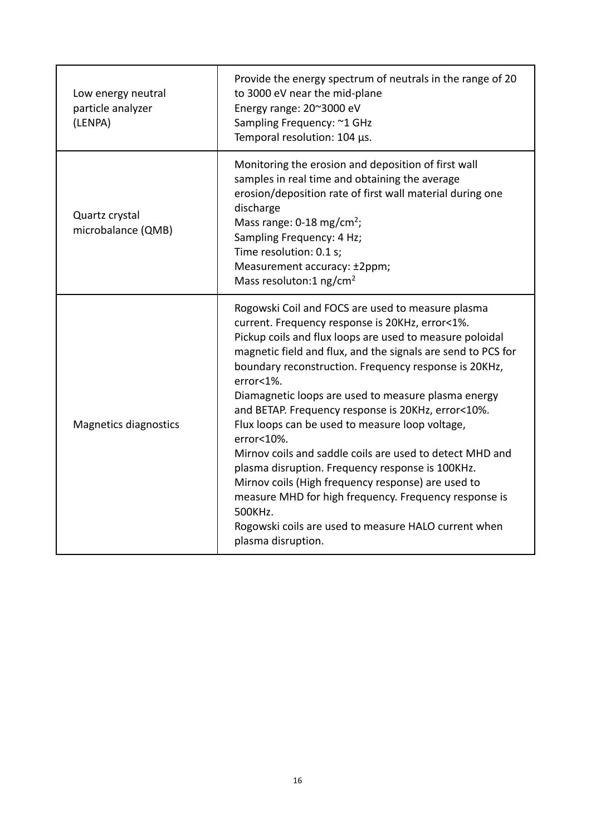| Low energy neutral<br>particle analyzer<br>(LENPA) | Provide the energy spectrum of neutrals in the range of 20<br>to 3000 eV near the mid-plane<br>Energy range: 20~3000 eV<br>Sampling Frequency: ~1 GHz<br>Temporal resolution: 104 µs.                                                                                                                                                                                                                                                                                                                                                                                                                                                                                                                                                                                                                            |
|----------------------------------------------------|------------------------------------------------------------------------------------------------------------------------------------------------------------------------------------------------------------------------------------------------------------------------------------------------------------------------------------------------------------------------------------------------------------------------------------------------------------------------------------------------------------------------------------------------------------------------------------------------------------------------------------------------------------------------------------------------------------------------------------------------------------------------------------------------------------------|
| Quartz crystal<br>microbalance (QMB)               | Monitoring the erosion and deposition of first wall<br>samples in real time and obtaining the average<br>erosion/deposition rate of first wall material during one<br>discharge<br>Mass range: $0-18$ mg/cm <sup>2</sup> ;<br>Sampling Frequency: 4 Hz;<br>Time resolution: 0.1 s;<br>Measurement accuracy: ±2ppm;<br>Mass resoluton:1 $ng/cm2$                                                                                                                                                                                                                                                                                                                                                                                                                                                                  |
| <b>Magnetics diagnostics</b>                       | Rogowski Coil and FOCS are used to measure plasma<br>current. Frequency response is 20KHz, error<1%.<br>Pickup coils and flux loops are used to measure poloidal<br>magnetic field and flux, and the signals are send to PCS for<br>boundary reconstruction. Frequency response is 20KHz,<br>error<1%.<br>Diamagnetic loops are used to measure plasma energy<br>and BETAP. Frequency response is 20KHz, error<10%.<br>Flux loops can be used to measure loop voltage,<br>$error<10\%$ .<br>Mirnov coils and saddle coils are used to detect MHD and<br>plasma disruption. Frequency response is 100KHz.<br>Mirnov coils (High frequency response) are used to<br>measure MHD for high frequency. Frequency response is<br>500KHz.<br>Rogowski coils are used to measure HALO current when<br>plasma disruption. |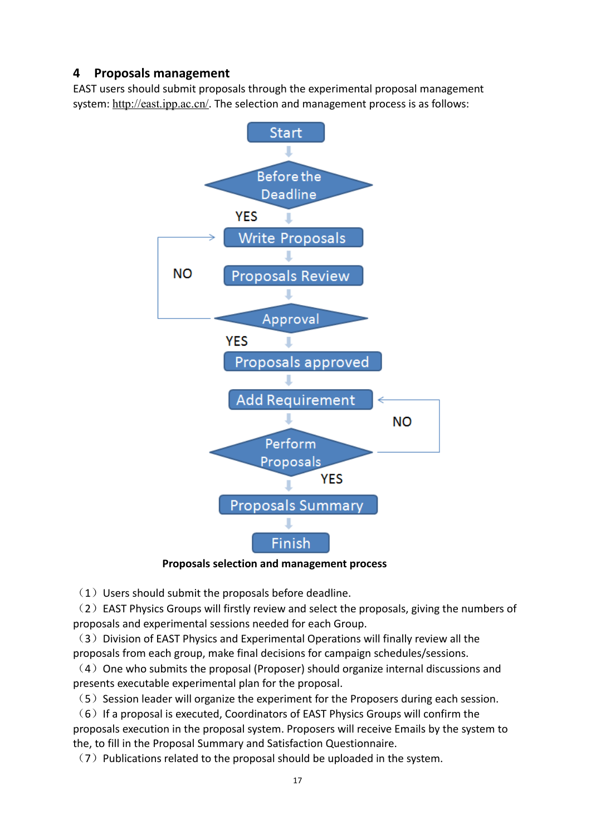#### <span id="page-16-0"></span>**4 Proposals management**

EAST users should submit proposals through the experimental proposal management system: <http://east.ipp.ac.cn/>. The selection and management process is as follows:



#### **Proposals selection and management process**

 $(1)$  Users should submit the proposals before deadline.

(2) EAST Physics Groups will firstly review and select the proposals, giving the numbers of proposals and experimental sessions needed for each Group.

 $(3)$  Division of EAST Physics and Experimental Operations will finally review all the proposals from each group, make final decisions for campaign schedules/sessions.

 $(4)$  One who submits the proposal (Proposer) should organize internal discussions and presents executable experimental plan for the proposal.

 $(5)$  Session leader will organize the experiment for the Proposers during each session.

 $(6)$  If a proposal is executed, Coordinators of EAST Physics Groups will confirm the proposals execution in the proposal system. Proposers will receive Emails by the system to the, to fill in the Proposal Summary and Satisfaction Questionnaire.

 $(7)$  Publications related to the proposal should be uploaded in the system.